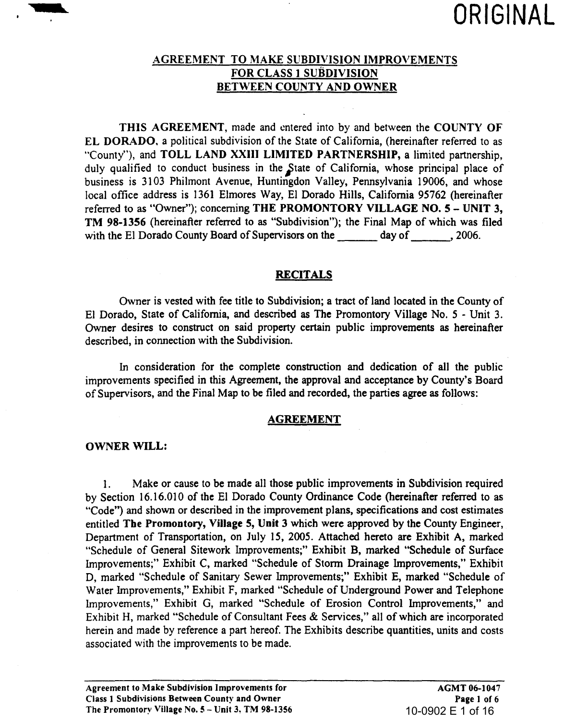

# AGREEMENT TO MAKE SllBDIVISION IMPROVEMENTS FOR CLASS 1 SUBDIVISION BETWEEN COUNTY AND OWNER

THIS AGREEMENT, made and entered into by and between the COUNTY OF EL DORADO. a political subdivision of the State of California, (hereinafter referred to as "County"), and TOLL LAND XXIII LIMITED PARTNERSHIP, a limited partnership, duly qualified to conduct business in the State of California, whose principal place of business is 3103 Philmont Avenue, Huntingdon Valley, Pennsylvania 19006, and whose local office address is 1361 Elmores Way, EI Dorado Hills, California 95762 (hereinafter referred to as "Owner"); concerning THE PROMONTORY VILLAGE NO. 5 - UNIT 3, TM 98-1356 (hereinafter referred to as "Subdivision"); the Final Map of which was filed with the El Dorado County Board of Supervisors on the day of , 2006.

#### RECITALS

Owner is vested with fee title to Subdivision; a tract of land located in the County of El Dorado, State of California, and described as The Promontory Village No. 5 - Unit 3. Owner desires to construct on said property certain public improvements as hereinafter described, in connection with the Subdivision.

In consideration for the complete construction and dedication of all the public improvements specified in this Agreement, the approval and acceptance by County's Board of Supervisors, and the Final Map to be filed and recorded, the parties agree as follows:

#### AGREEMENT

#### OWNER WILL:

1. Make or cause to be made all those public improvements in Subdivision required by Section 16.16.010 of the El Dorado County Ordinance Code (hereinafter referred to as "Code") and shown or described in the improvement plans, specifications and cost estimates entitled The Promontory, Village 5, Unit 3 which were approved by the County Engineer, Department of Transportation, on July 15, 2005. Attached hereto are Exhibit A, marked "Schedule of General Sitework Improvements;" Exhibit B, marked "Schedule of Surface Improvements;" Exhibit C, marked "Schedule of Storm Drainage Improvements," Exhibit D, marked "Schedule of Sanitary Sewer Improvements;" Exhibit E, marked "Schedule of Water Improvements," Exhibit F, marked "Schedule of Underground Power and Telephone Improvements," Exhibit G, marked "Schedule of Erosion Control Improvements," and Exhibit H, marked "Schedule of Consultant Fees & Services," all of which are incorporated herein and made by reference a part hereof. The Exhibits describe quantities, units and costs associated with the improvements to be made.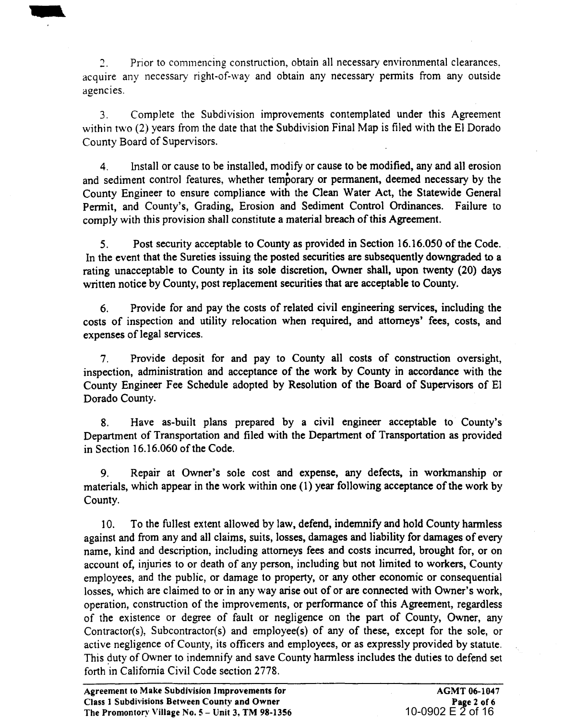") Prior to commencing construction, obtain all necessary environmental clearances, acquire any necessary right-of-way and obtain any necessary permits from any outside agencies.

3. Complete the Subdivision improvements contemplated under this Agreement within two (2) years from the date that the Subdivision Final Map is filed with the El Dorado County Board of Supervisors.

4. Install or cause to be installed, modify or cause to be modified, any and all erosion and sediment control features, whether temporary or pennanent, deemed necessary by the County Engineer to ensure compliance with the Clean Water Act, the Statewide General Permit, and County's, Grading, Erosion and Sediment Control Ordinances. Failure to comply with this provision shall constitute a material breach of this Agreement.

5. Post security acceptable to County as provided in Section 16.16.050 of the Code. In the event that the Sureties issuing the posted securities are subsequently downgraded to a rating unacceptable to County in its sole discretion, Owner shall, upon twenty (20) days written notice by County, post replacement securities that are acceptable to County.

6. Provide for and pay the costs of related civil engineering services, including the costs of inspection and utility relocation when required, and attorneys' fees, costs, and expenses of legal services.

7. Provide deposit for and pay to County all costs of construction oversight, inspection, administration and acceptance of the work by County in accordance with the County Engineer Fee Schedule adopted by Resolution of the Board of Supervisors of El Dorado County.

8. Have as-built plans prepared by a civil engineer acceptable to County's Department of Transportation and filed with the Department of Transportation as provided in Section 16.16.060 of the Code.

9. Repair at Owner's sole cost and expense, any defects, in workmanship or materials, which appear in the work within one (1) year following acceptance of the work by County.

10. To the fullest extent allowed by law, defend, indemnify and hold County harmless against and from any and all claims, suits, losses, damages and liability for damages of every name, kind and description, including attorneys fees and costs incurred, brought for, or on account of, injuries to or death of any person, including but not limited to workers, County employees, and the public, or damage to property, or any other economic or consequential losses, which are claimed to or in any way arise out of or are connected with Owner's work, operation, construction of the improvements, or performance of this Agreement, regardless of the existence or degree of fault or negligence on the part of County, Owner, any Contractor(s), Subcontractor(s) and employee(s) of any of these, except for the sole, or active negligence of County, its officers and employees, or as expressly provided by statute. This duty of Owner to indemnify and save County harmless includes the duties to defend set forth in California Civil Code section 2778.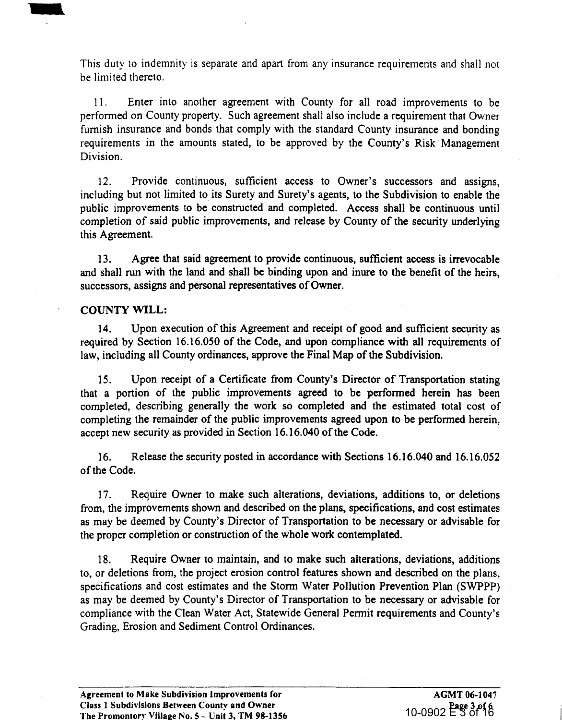This duty to indemnity is separate and apart from any insurance requirements and shall not be limited thereto.

11. Enter into another agreement with County for all road improvements to be perfonned on County property. Such agreement shall also include a requirement that Owner furnish insurance and bonds that comply with the standard County insurance and bonding requirements in the amounts stated, to be approved by the County's Risk Management Division.

12. Provide continuous, sufficient access to Owner's successors and assigns, including but not limited to its Surety and Surety's agents, to the Subdivision to enable the public improvements to be constructed and completed. Access shall be continuous until completion of said public improvements, and release by County of the security underlying this Agreement.

13. Agree that said agreement to provide continuous, sufficient access is irrevocable and shall run with the land and shall be binding upon and inure to the benefit of the heirs, successors, assigns and personal representatives of Owner.

## COUNTY WILL:

..

14. Upon execution of this Agreement and receipt of good and sufficient security as required by Section 16.16.050 of the Code, and upon compliance with all requirements of law, including all County ordinances, approve the Final Map of the Subdivision.

15. Upon receipt of a Certificate from County's Director of Transportation stating that a portion of the public improvements agreed to be performed herein has been completed, describing generally the work so completed and the estimated total cost of completing the remainder of the public improvements agreed upon to be performed herein, accept new security as provided in Section 16.16.040 of the Code.

16. Release the security posted in accordance with Sections 16.16.040 and 16.16.052 of the Code.

17. Require Owner to make such alterations, deviations, additions to, or deletions from, the improvements shown and described on the plans, specifications, and cost estimates as may be deemed by County's Director of Transportation to be necessary or advisable for the proper completion or construction of the whole work contemplated.

18. Require Owner to maintain, and to make such alterations, deviations, additions to, or deletions from, the project erosion control features shown and described on the plans, specifications and cost estimates and the Storm Water Pollution Prevention Plan (SWPPP) as may be deemed by County's Director of Transportation to be necessary or advisable for compliance with the Clean Water Act, Statewide General Permit requirements and County's Grading, Erosion and Sediment Control Ordinances.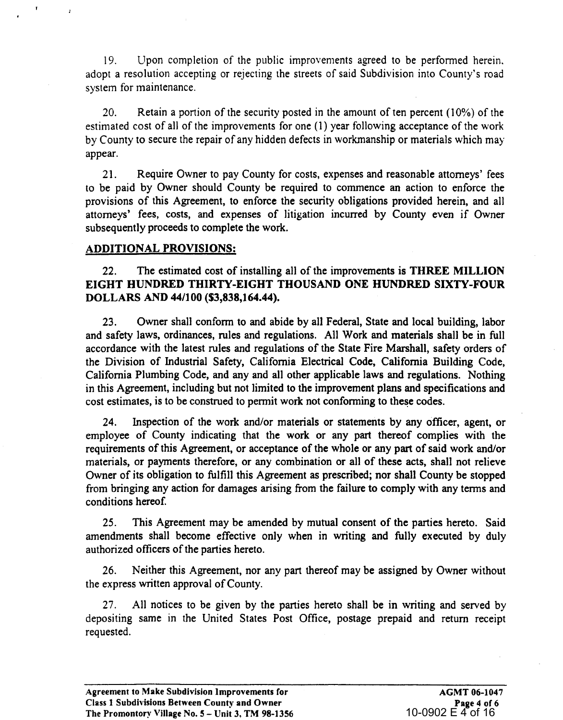19. Upon completion of the public improvements agreed to be performed herein. adopt a resolution accepting or rejecting the streets of said Subdivision into County's road system for maintenance.

20. Retain a portion of the security posted in the amount of ten percent (10%) of the estimated cost of all of the improvements for one (1) year following acceptance of the work by County to secure the repair of any hidden defects in workmanship or materials which may appear.

21. Require Owner to pay County for costs, expenses and reasonable attorneys' fees to be paid by Owner should County be required to commence an action to enforce the provisions of this Agreement, to enforce the security obligations provided herein, and all attorneys' fees, costs, and expenses of litigation incurred by County even if Owner subsequently proceeds to complete the work.

# ADDITIONAL PROVISIONS:

 $\mathbf{r}$ 

 $\overline{1}$ 

22. The estimated cost of installing all of the improvements is THREE MILLION EIGHT HUNDRED THIRTY-EIGHT THOUSAND ONE HUNDRED SIXTY-FOUR DOLLARS AND 44/100 (53,838,164.44).

23. Owner shall conform to and abide by all Federal, State and local building, labor and safety laws, ordinances, rules and regulations. All Work and materials shall be in full accordance with the latest rules and regulations of the State Fire Marshall, safety orders of the Division of Industrial Safety, California Electrical Code, California Building Code, California Plumbing Code, and any and all other applicable laws and regulations. Nothing in this Agreement, including but not limited to the improvement plans and specifications and cost estimates, is to be construed to permit work not conforming to these codes.

24. Inspection of the work and/or materials or statements by any officer, agent, or employee of County indicating that the work or any part thereof complies with the requirements of this Agreement, or acceptance of the whole or any part of said work and/or materials, or payments therefore, or any combination or all of these acts, shall not relieve Owner of its obligation to fulfill this Agreement as prescribed; nor shall County be stopped from bringing any action for damages arising from the failure to comply with any terms and conditions hereof.

25. This Agreement may be amended by mutual consent of the parties hereto. Said amendments shall become effective only when in writing and fully executed by duly authorized officers of the parties hereto.

26. Neither this Agreement, nor any part thereof may be assigned by Owner without the express written approval of County.

27. All notices to be given by the parties hereto shall be in writing and served by depositing same in the United States Post Office, postage prepaid and return receipt requested.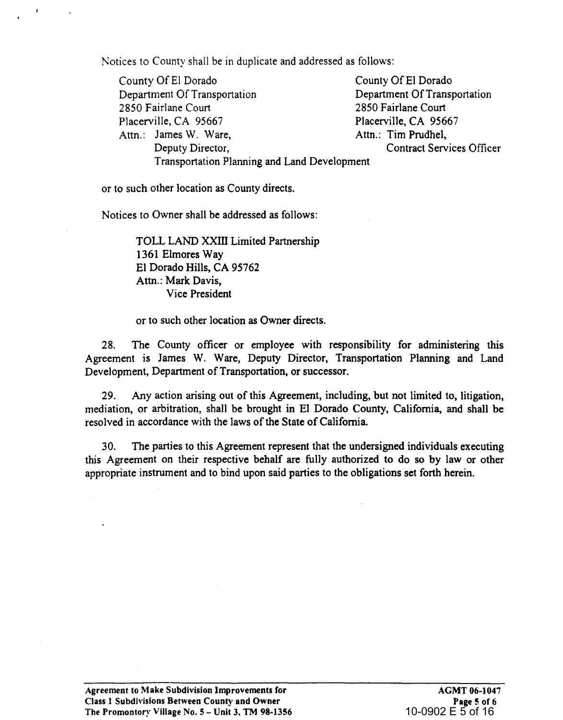Notices to County shall be in duplicate and addressed as follows:

County Of EI Dorado County Of El Dorado Department Of Transportation<br>
2850 Fairlane Court<br>
2850 Fairlane Court<br>
2850 Fairlane Court 2850 Fairlane Court<br>Placerville, CA 95667 Placerville, CA 95667 Attn.: James W. Ware, Attn.: Tim Prudhel, Deputy Director, Contract Services Officer Transportation Planning and Land Development

or to such other location as County directs.

 $\ddot{\phantom{a}}$ 

Notices to Owner shall be addressed as follows:

TOLL LAND XXIII Limited Partnership 1361 Elmores Way El Dorado Hills, CA 95762 Attn.: Mark Davis, Vice President

or to such other location as Owner directs.

28. The County officer or employee with responsibility for administering this Agreement is James W. Ware, Deputy Director, Transportation Planning and Land Development, Department of Transportation, or successor.

29. Any action arising out of this Agreement, including, but not limited to, litigation, mediation, or arbitration, shall be brought in El Dorado County, California, and shall be resolved in accordance with the laws of the State of California.

30. The parties to this Agreement represent that the undersigned individuals executing this Agreement on their respective behalf are fully authorized to do so by law or other appropriate instrument and to bind upon said parties to the obligations set forth herein.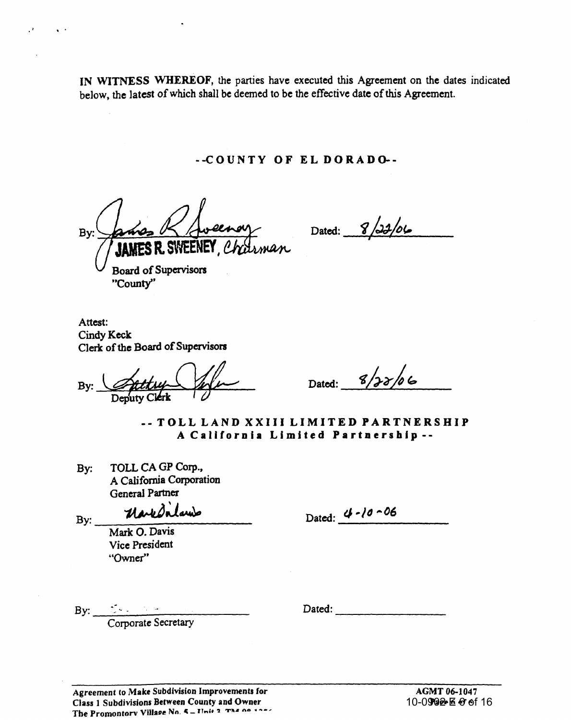IN WITNESS WHEREOF, the parties have executed this Agreement on the dates indicated below, the latest of which shall be deemed to be the effective date of this Agreement.

--COUNTY OF EL DORADo.-

Bv: SWEENEY Charman

Dated: 8/22/06

Board of Supervisors "County"

· .

Attest: Cindy Keck Clerk of the Board of Supervisors

By: or the Board of Supervisors<br>Deputy Clerk

Dated: 8/22/06

-- TOLL LAND XXIII LIMITED PARTNERSHIP A California Limited Partnership--

By: TOLL CA GP Corp., A California Corporation General Partner

 $_{\rm{By:}}$  - Mark d'in Launs

Dated: 4-10-06

Mark O. Davis Vice President "Owner"

By: <u>Corporate Secretary</u>

 $Dated:$ 

Agreement to Make Subdivision Improvements for Class 1 Subdivisions Between County and Owner The PromontorY VilllU,f! Nn\_ co \_ IT .. :, 'lI T1O. lUI • ~-~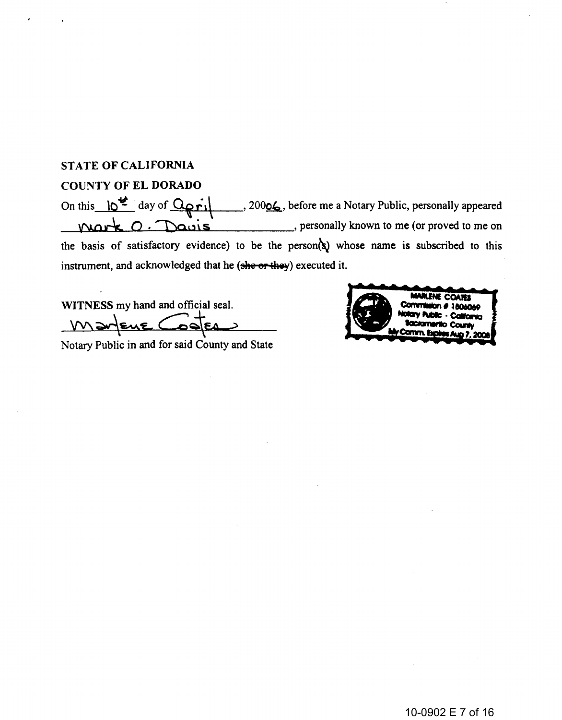### STATE OF CALIFORNIA

### COUNTY OF EL DORADO

On this  $\frac{10^{42}}{4}$  day of  $\frac{1}{20006}$ , before me a Notary Public, personally appeared \_--l\{'J.~o ..... ck-D~o\_=-. :I)o.\_....,.\_Ll"""-A.\ ... S~ \_\_\_\_\_ , personally known to me (or proved to me on the basis of satisfactory evidence) to be the person( $\hat{y}$  whose name is subscribed to this instrument, and acknowledged that he (she or they) executed it.

WITNESS my hand and official seal.  $W\rightarrow\ell\ell\ell$  Cooleansid County and State

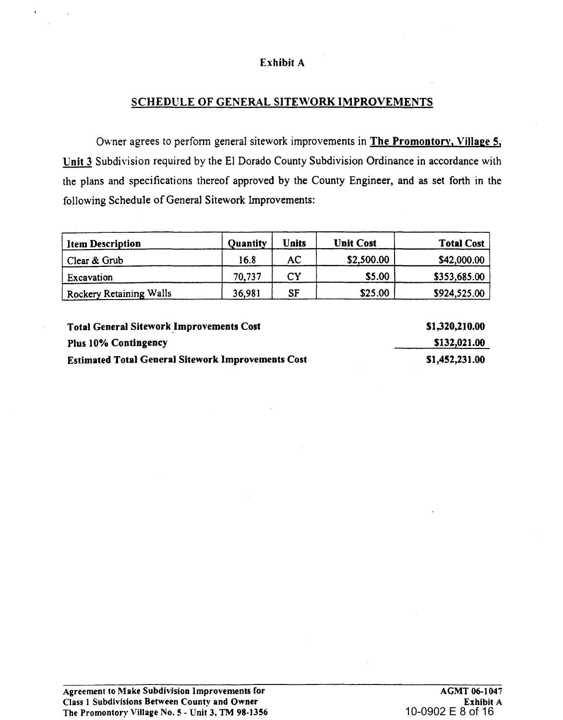# Exhibit A

# SCHEDULE OF GENERAL SITEWORK IMPROVEMENTS

Owner agrees to perform general sitework improvements in The Promontory, Village 5, Unit 3 Subdivision required by the El Dorado County Subdivision Ordinance in accordance with the plans and specifications thereof approved by the County Engineer, and as set forth in the following Schedule of General Sitework Improvements:

| <b>Item Description</b> | <b>Quantity</b> | Units     | <b>Unit Cost</b> | <b>Total Cost</b> |
|-------------------------|-----------------|-----------|------------------|-------------------|
| Clear & Grub            | 16.8            | AC        | \$2,500.00       | \$42,000.00       |
| ' Excavation            | 70.737          | CY        | \$5.00           | \$353,685.00      |
| Rockery Retaining Walls | 36,981          | <b>SF</b> | \$25.00          | \$924,525.00      |

Total General Sitework Improvements Cost Plus 10% Contingency Estimated Total Genera) Sitework Improvements Cost

51,320,210.00 5132,021.00 SI,452,231.00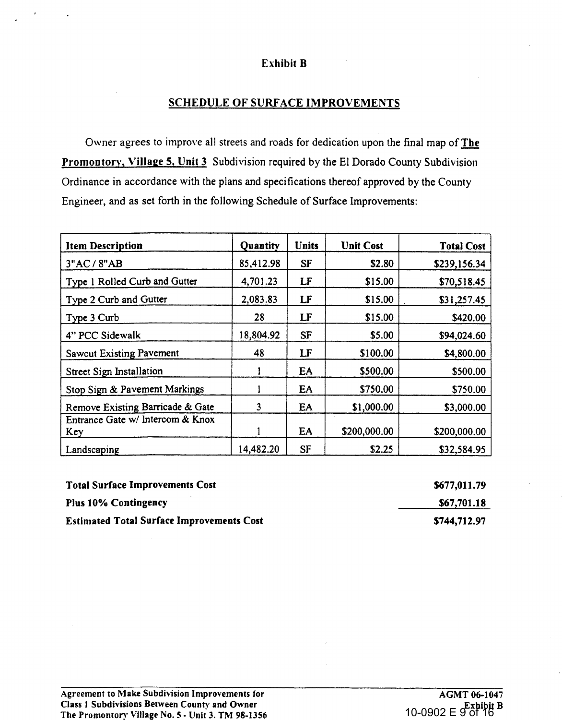#### Exhibit B

### SCHEDULE OF SURFACE IMPROVEMENTS

Owner agrees to improve all streets and roads for dedication upon the final map of The Promontory, Village 5, Unit 3 Subdivision required by the El Dorado County Subdivision Ordinance in accordance with the plans and specifications thereof approved by the County Engineer, and as set forth in the following Schedule of Surface Improvements:

| <b>Item Description</b>                 | Quantity  | <b>Units</b> | <b>Unit Cost</b> | <b>Total Cost</b> |
|-----------------------------------------|-----------|--------------|------------------|-------------------|
| 3"AC / 8"AB                             | 85,412.98 | <b>SF</b>    | \$2.80           | \$239,156.34      |
| Type 1 Rolled Curb and Gutter           | 4,701.23  | LF           | \$15.00          | \$70,518.45       |
| Type 2 Curb and Gutter                  | 2,083.83  | LF           | \$15.00          | \$31,257.45       |
| Type 3 Curb                             | 28        | LF           | \$15.00          | \$420.00          |
| 4" PCC Sidewalk                         | 18,804.92 | <b>SF</b>    | \$5.00           | \$94,024.60       |
| <b>Sawcut Existing Pavement</b>         | 48        | LF           | \$100.00         | \$4,800.00        |
| Street Sign Installation                |           | EA           | \$500.00         | \$500.00          |
| Stop Sign & Pavement Markings           |           | EA           | \$750.00         | \$750.00          |
| Remove Existing Barricade & Gate        | 3         | EA           | \$1,000.00       | \$3,000.00        |
| Entrance Gate w/ Intercom & Knox<br>Key |           | EA           | \$200,000.00     | \$200,000.00      |
| Landscaping                             | 14,482.20 | <b>SF</b>    | \$2.25           | \$32,584.95       |

| <b>Total Surface Improvements Cost</b>           | \$677,011.79 |
|--------------------------------------------------|--------------|
| <b>Plus 10% Contingency</b>                      | \$67,701.18  |
| <b>Estimated Total Surface Improvements Cost</b> | \$744,712.97 |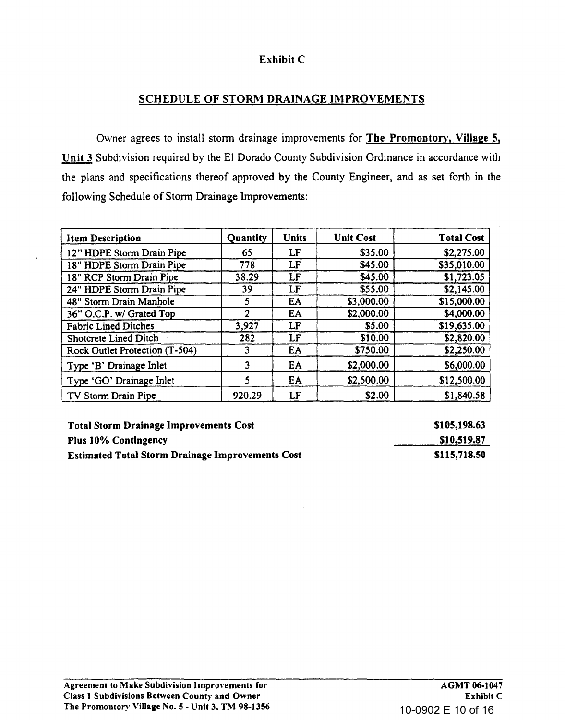# Exhibit C

# SCHEDULE OF STORM DRAINAGE IMPROVEMENTS

Owner agrees to install storm drainage improvements for The Promontory, Village 5. Unit 3 Subdivision required by the El Dorado County Subdivision Ordinance in accordance with the plans and specifications thereof approved by the County Engineer, and as set forth in the following Schedule of Storm Drainage Improvements:

| <b>Item Description</b>        | Quantity | <b>Units</b> | <b>Unit Cost</b> | <b>Total Cost</b> |
|--------------------------------|----------|--------------|------------------|-------------------|
| 12" HDPE Storm Drain Pipe      | 65       | LF           | \$35.00          | \$2,275.00        |
| 8" HDPE Storm Drain Pipe       | 778      | LF           | \$45.00          | \$35,010.00       |
| 18" RCP Storm Drain Pipe       | 38.29    | LF           | \$45.00          | \$1,723.05        |
| 24" HDPE Storm Drain Pipe      | 39       | LF           | \$55.00          | \$2,145.00        |
| 48" Storm Drain Manhole        | 5        | EA           | \$3,000.00       | \$15,000.00       |
| 36" O.C.P. w/ Grated Top       | 2        | EA           | \$2,000.00       | \$4,000.00        |
| <b>Fabric Lined Ditches</b>    | 3,927    | LF           | \$5.00           | \$19,635.00       |
| Shotcrete Lined Ditch          | 282      | LF           | \$10.00          | \$2,820.00        |
| Rock Outlet Protection (T-504) |          | EA           | \$750.00         | \$2,250.00        |
| Type 'B' Drainage Inlet        | 3        | EA           | \$2,000.00       | \$6,000.00        |
| Type 'GO' Drainage Inlet       | S        | EA           | \$2,500.00       | \$12,500.00       |
| TV Storm Drain Pipe            | 920.29   | LF           | \$2.00           | \$1,840.58        |

| <b>Total Storm Drainage Improvements Cost</b>           | \$105,198.63 |
|---------------------------------------------------------|--------------|
| <b>Plus 10% Contingency</b>                             | \$10,519.87  |
| <b>Estimated Total Storm Drainage Improvements Cost</b> | \$115,718.50 |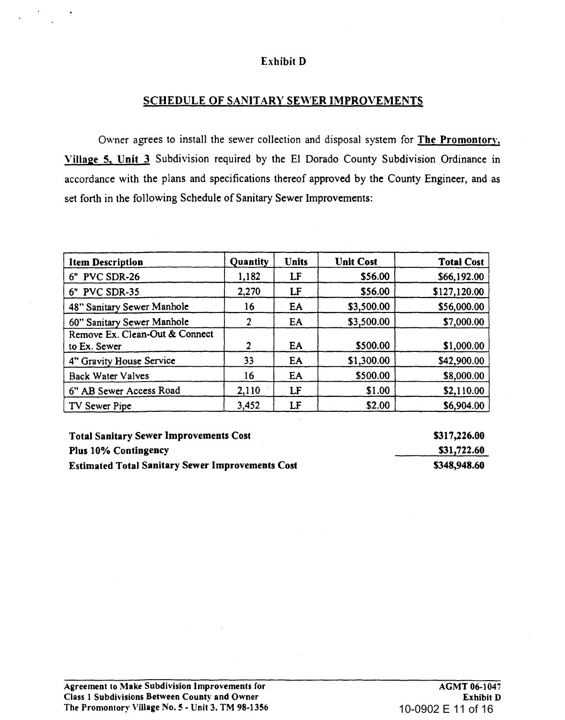### Exhibit D

#### SCHEDULE OF SANITARY SEWER IMPROVEMENTS

Owner agrees to install the sewer collection and disposal system for The Promontory. Village 5, Unit 3 Subdivision required by the El Dorado County Subdivision Ordinance in accordance with the plans and specifications thereof approved by the County Engineer, and as set forth in the following Schedule of Sanitary Sewer Improvements:

| <b>Item Description</b>                        | Quantity | <b>Units</b> | <b>Unit Cost</b> | <b>Total Cost</b> |
|------------------------------------------------|----------|--------------|------------------|-------------------|
| 6" PVC SDR-26                                  | 1,182    | LF           | \$56.00          | \$66,192.00       |
| 6" PVC SDR-35                                  | 2,270    | LF           | \$56.00          | \$127,120.00      |
| 48" Sanitary Sewer Manhole                     | 16       | EA           | \$3,500.00       | \$56,000.00       |
| 60" Sanitary Sewer Manhole                     | 2        | EA           | \$3,500.00       | \$7,000.00        |
| Remove Ex. Clean-Out & Connect<br>to Ex. Sewer | 2        | EA           | \$500.00         | \$1,000.00        |
| 4" Gravity House Service                       | 33       | EA           | \$1,300.00       | \$42,900.00       |
| <b>Back Water Valves</b>                       | 16       | EA           | \$500.00         | \$8,000.00        |
| 6" AB Sewer Access Road                        | 2,110    | LF           | \$1.00           | \$2,110.00        |
| TV Sewer Pipe                                  | 3,452    | LF           | \$2.00           | \$6,904.00        |

Total Sanitary Sewer Improvements Cost Plus 10% Contingency Estimated Total Sanitary Sewer Improvements Cost 5317,226.00 531,722.60 5348,948.60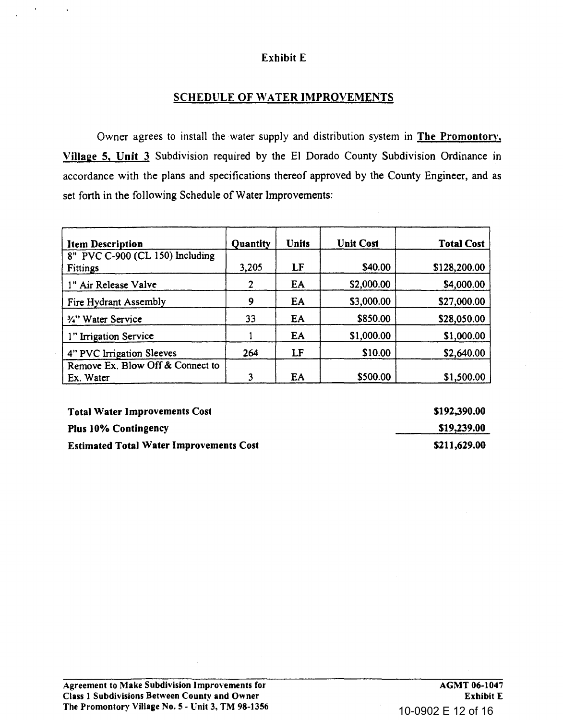# Exhibit E

# **SCHEDULE OF WATER IMPROVEMENTS**

Owner agrees to install the water supply and distribution system in The Promontory, Village 5, Unit 3 Subdivision required by the EI Dorado County Subdivision Ordinance in accordance with the plans and specifications thereof approved by the County Engineer, and as set forth in the following Schedule of Water Improvements:

| <b>Item Description</b>                       | Quantity | <b>Units</b> | <b>Unit Cost</b> | <b>Total Cost</b> |
|-----------------------------------------------|----------|--------------|------------------|-------------------|
| 8" PVC C-900 (CL 150) Including<br>Fittings   | 3,205    | LF           | \$40.00          | \$128,200.00      |
| 1" Air Release Valve                          | 2        | EA           | \$2,000.00       | \$4,000.00        |
| Fire Hydrant Assembly                         | 9        | EA           | \$3,000.00       | \$27,000.00       |
| 34" Water Service                             | 33       | EA           | \$850.00         | \$28,050.00       |
| 1" Irrigation Service                         |          | EA           | \$1,000.00       | \$1,000.00        |
| 4" PVC Irrigation Sleeves                     | 264      | LF           | \$10.00          | \$2,640.00        |
| Remove Ex. Blow Off & Connect to<br>Ex. Water |          | EA           | \$500.00         | \$1,500.00        |

| <b>Total Water Improvements Cost</b>           | \$192,390.00 |
|------------------------------------------------|--------------|
| <b>Plus 10% Contingency</b>                    | \$19,239.00  |
| <b>Estimated Total Water Improvements Cost</b> | \$211,629.00 |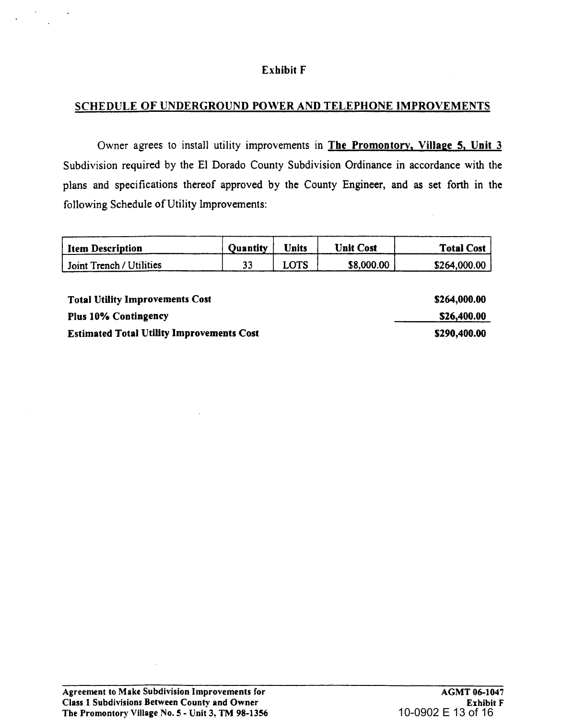#### Exhibit F

#### SCHEDULE OF UNDERGROUND POWER AND TELEPHONE IMPROVEMENTS

Owner agrees to install utility improvements in The Promontory, Village 5, Unit 3 Subdivision required by the El Dorado County Subdivision Ordinance in accordance with the plans and specifications thereof approved by the County Engineer, and as set forth in the following Schedule of Utility Improvements:

| <b>Item Description</b>  | <b>Ouantity</b> | <b>Jnits</b> | Unit Cost  | <b>Total Cost</b> |
|--------------------------|-----------------|--------------|------------|-------------------|
| Joint Trench / Utilities |                 | LOTS         | \$8,000.00 | \$264,000.00      |

Total Utility Improvements Cost Plus 10% Contingency Estimated Total Utility Improvements Cost \$264,000.00 \$26,400.00 \$290,400.00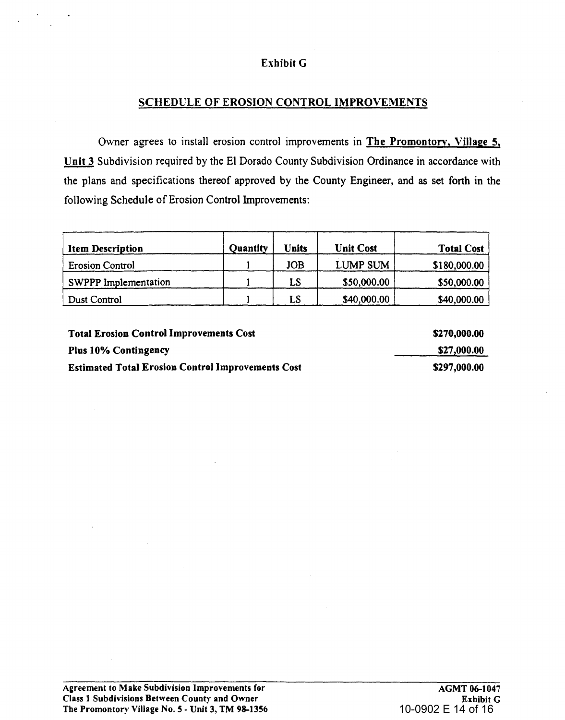# Exhibit G

## SCHEDULE OF EROSION CONTROL IMPROVEMENTS

Owner agrees to install erosion control improvements in The Promontory, Village 5, Unit 3 Subdivision required by the El Dorado County Subdivision Ordinance in accordance with the plans and specifications thereof approved by the County Engineer, and as set forth in the following Schedule of Erosion Control Improvements:

| <b>Item Description</b> | Quantity | Units      | <b>Unit Cost</b> | <b>Total Cost</b> |
|-------------------------|----------|------------|------------------|-------------------|
| <b>Erosion Control</b>  |          | <b>JOB</b> | LUMP SUM         | \$180,000.00      |
| SWPPP Implementation    |          | LS         | \$50,000.00      | \$50,000.00       |
| Dust Control            |          | LS         | \$40,000.00      | \$40,000.00       |

Total Erosion Control Improvements Cost Plus 10% Contingency Estimated Total Erosion Control Improvements Cost S270,000.00 S27,000.00 S297,000.00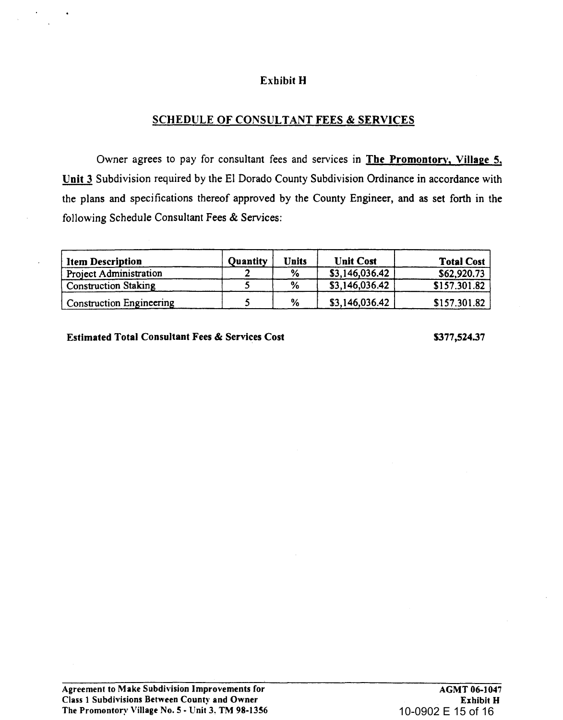### Exhibit H

### SCHEDULE OF CONSULTANT FEES & SERVICES

Owner agrees to pay for consultant fees and services in The Promontory, Village 5, Unit 3 Subdivision required by the EI Dorado County Subdivision Ordinance in accordance with the plans and specifications thereof approved by the County Engineer, and as set forth in the following Schedule Consultant Fees & Services:

| <b>Item Description</b>         | <b>Quantity</b> | Units | <b>Unit Cost</b> | <b>Total Cost</b> |
|---------------------------------|-----------------|-------|------------------|-------------------|
| <b>Project Administration</b>   |                 | %     | \$3,146,036.42   | \$62,920.73       |
| <b>Construction Staking</b>     |                 | %     | \$3,146,036.42   | \$157.301.82      |
| <b>Construction Engineering</b> |                 | %     | \$3,146,036.42   | \$157.301.82      |

Estimated Total Consultant Fees & Services Cost

5377,524.37